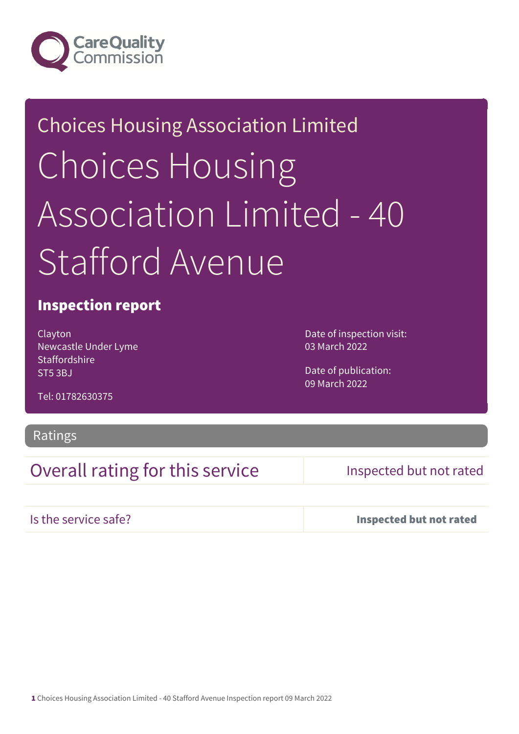

# Choices Housing Association Limited Choices Housing Association Limited - 40 Stafford Avenue

## Inspection report

Clayton Newcastle Under Lyme **Staffordshire** ST5 3BJ

Date of inspection visit: 03 March 2022

Date of publication: 09 March 2022

Tel: 01782630375

### Ratings

## Overall rating for this service **Inspected but not rated**

Is the service safe? Inspected but not rated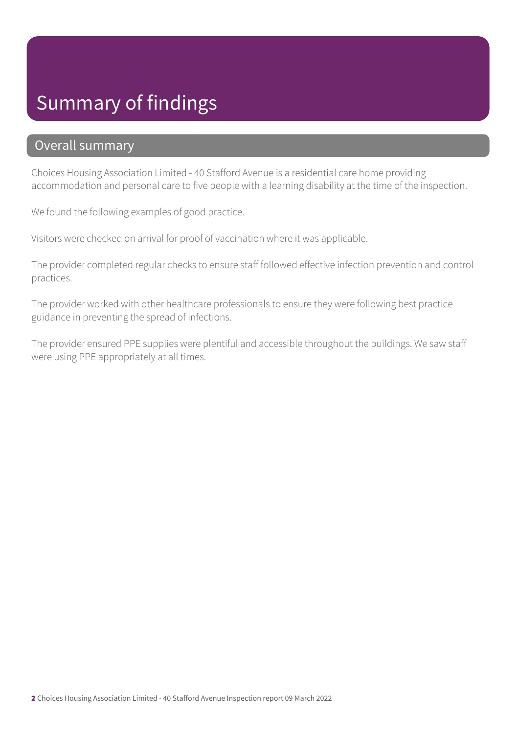# Summary of findings

## Overall summary

Choices Housing Association Limited - 40 Stafford Avenue is a residential care home providing accommodation and personal care to five people with a learning disability at the time of the inspection.

We found the following examples of good practice.

Visitors were checked on arrival for proof of vaccination where it was applicable.

The provider completed regular checks to ensure staff followed effective infection prevention and control practices.

The provider worked with other healthcare professionals to ensure they were following best practice guidance in preventing the spread of infections.

The provider ensured PPE supplies were plentiful and accessible throughout the buildings. We saw staff were using PPE appropriately at all times.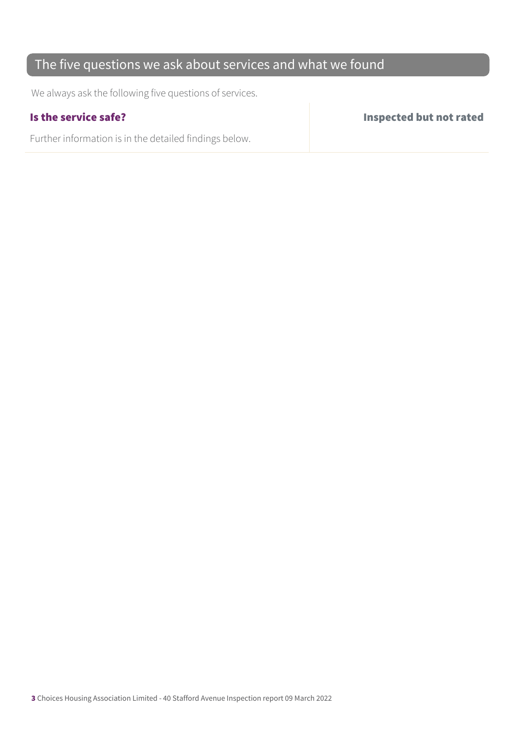## The five questions we ask about services and what we found

We always ask the following five questions of services.

Further information is in the detailed findings below.

Is the service safe? Inspected but not rated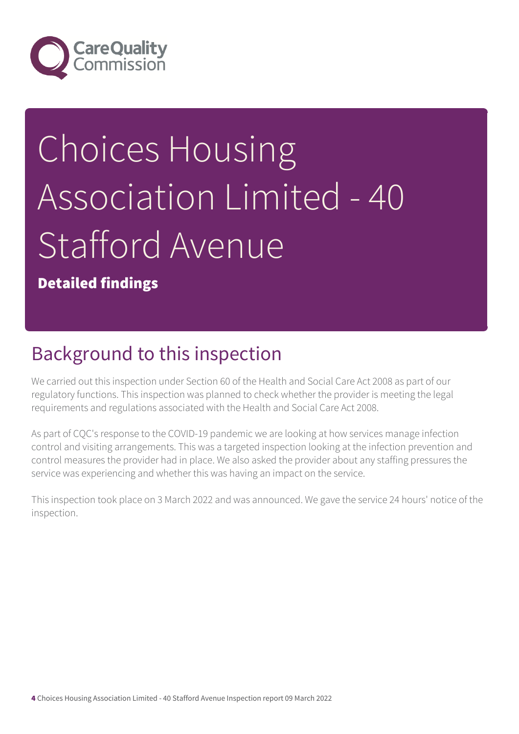

# Choices Housing Association Limited - 40 Stafford Avenue

Detailed findings

# Background to this inspection

We carried out this inspection under Section 60 of the Health and Social Care Act 2008 as part of our regulatory functions. This inspection was planned to check whether the provider is meeting the legal requirements and regulations associated with the Health and Social Care Act 2008.

As part of CQC's response to the COVID-19 pandemic we are looking at how services manage infection control and visiting arrangements. This was a targeted inspection looking at the infection prevention and control measures the provider had in place. We also asked the provider about any staffing pressures the service was experiencing and whether this was having an impact on the service.

This inspection took place on 3 March 2022 and was announced. We gave the service 24 hours' notice of the inspection.